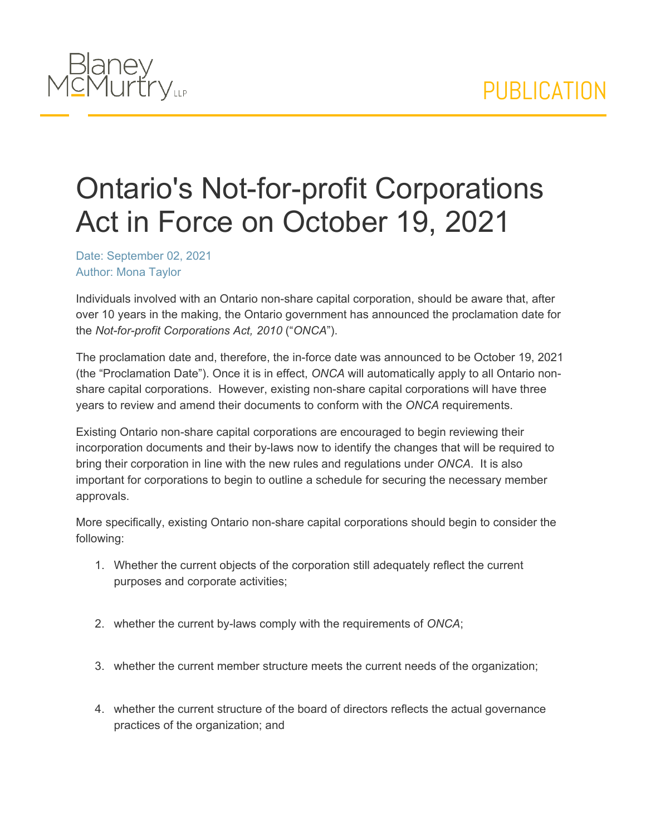

## Ontario's Not-for-profit Corporations Act in Force on October 19, 2021

Date: September 02, 2021 Author: Mona Taylor

Individuals involved with an Ontario non-share capital corporation, should be aware that, after over 10 years in the making, the Ontario government has announced the proclamation date for the *Not-for-profit Corporations Act, 2010* ("*ONCA*").

The proclamation date and, therefore, the in-force date was announced to be October 19, 2021 (the "Proclamation Date"). Once it is in effect, *ONCA* will automatically apply to all Ontario nonshare capital corporations. However, existing non-share capital corporations will have three years to review and amend their documents to conform with the *ONCA* requirements.

Existing Ontario non-share capital corporations are encouraged to begin reviewing their incorporation documents and their by-laws now to identify the changes that will be required to bring their corporation in line with the new rules and regulations under *ONCA*. It is also important for corporations to begin to outline a schedule for securing the necessary member approvals.

More specifically, existing Ontario non-share capital corporations should begin to consider the following:

- 1. Whether the current objects of the corporation still adequately reflect the current purposes and corporate activities;
- 2. whether the current by-laws comply with the requirements of *ONCA*;
- 3. whether the current member structure meets the current needs of the organization;
- 4. whether the current structure of the board of directors reflects the actual governance practices of the organization; and